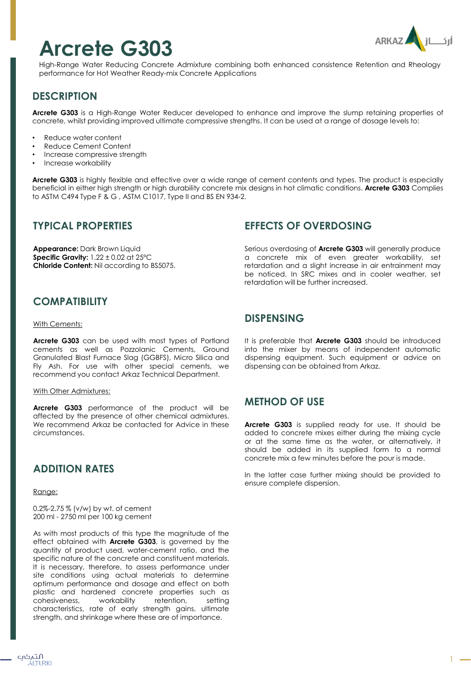# **Arcrete G303**



High-Range Water Reducing Concrete Admixture combining both enhanced consistence Retention and Rheology performance for Hot Weather Ready-mix Concrete Applications

# **DESCRIPTION**

**Arcrete G303** is a High-Range Water Reducer developed to enhance and improve the slump retaining properties of concrete, whilst providing improved ultimate compressive strengths. It can be used at a range of dosage levels to:

- Reduce water content
- Reduce Cement Content
- Increase compressive strength
- Increase workability

**Arcrete G303** is highly flexible and effective over a wide range of cement contents and types. The product is especially beneficial in either high strength or high durability concrete mix designs in hot climatic conditions. **Arcrete G303** Complies to ASTM C494 Type F & G , ASTM C1017, Type II and BS EN 934-2.

### **TYPICAL PROPERTIES**

**Appearance:** Dark Brown Liquid **Specific Gravity:** 1.22 ± 0.02 at 25ºC **Chloride Content:** Nil according to BS5075.

# **COMPATIBILITY**

#### With Cements:

**Arcrete G303** can be used with most types of Portland cements as well as Pozzolanic Cements, Ground Granulated Blast Furnace Slag (GGBFS), Micro Silica and Fly Ash. For use with other special cements, we recommend you contact Arkaz Technical Department.

#### With Other Admixtures:

**Arcrete G303** performance of the product will be affected by the presence of other chemical admixtures. We recommend Arkaz be contacted for Advice in these circumstances.

## **ADDITION RATES**

#### Range:

0.2%-2.75 % (v/w) by wt. of cement 200 ml - 2750 ml per 100 kg cement

As with most products of this type the magnitude of the effect obtained with **Arcrete G303**, is governed by the quantity of product used, water-cement ratio, and the specific nature of the concrete and constituent materials. It is necessary, therefore, to assess performance under site conditions using actual materials to determine optimum performance and dosage and effect on both plastic and hardened concrete properties such as cohesiveness, workability retention, setting characteristics, rate of early strength gains, ultimate strength, and shrinkage where these are of importance.

## **EFFECTS OF OVERDOSING**

Serious overdosing of **Arcrete G303** will generally produce a concrete mix of even greater workability, set retardation and a slight increase in air entrainment may be noticed. In SRC mixes and in cooler weather, set retardation will be further increased.

#### **DISPENSING**

It is preferable that **Arcrete G303** should be introduced into the mixer by means of independent automatic dispensing equipment. Such equipment or advice on dispensing can be obtained from Arkaz.

## **METHOD OF USE**

**Arcrete G303** is supplied ready for use. It should be added to concrete mixes either during the mixing cycle or at the same time as the water, or alternatively, it should be added in its supplied form to a normal concrete mix a few minutes before the pour is made.

In the latter case further mixing should be provided to ensure complete dispersion.

1